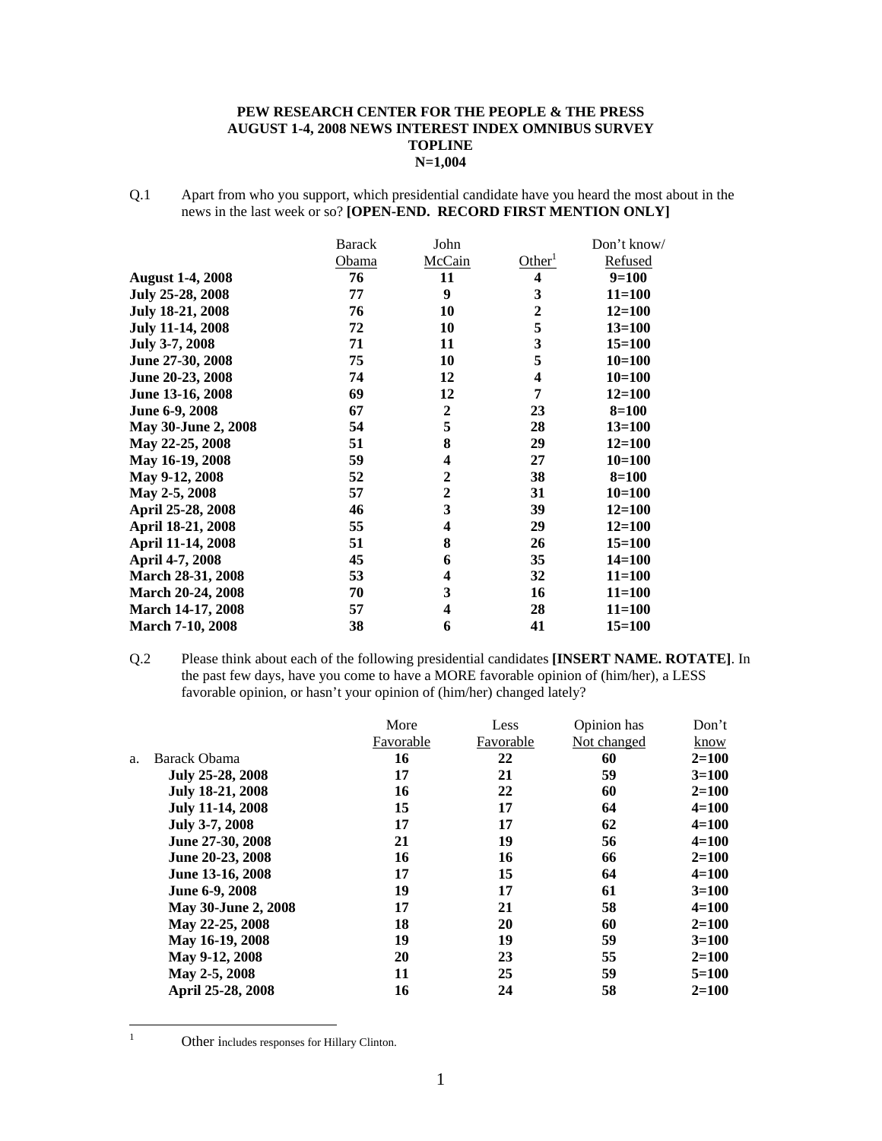#### **PEW RESEARCH CENTER FOR THE PEOPLE & THE PRESS AUGUST 1-4, 2008 NEWS INTEREST INDEX OMNIBUS SURVEY TOPLINE N=1,004**

Q.1 Apart from who you support, which presidential candidate have you heard the most about in the news in the last week or so? **[OPEN-END. RECORD FIRST MENTION ONLY]** 

|                         | <b>Barack</b> | John                    |                         | Don't know/ |
|-------------------------|---------------|-------------------------|-------------------------|-------------|
|                         | Obama         | McCain                  | Other <sup>1</sup>      | Refused     |
| <b>August 1-4, 2008</b> | 76            | 11                      | $\overline{\mathbf{4}}$ | $9=100$     |
| July 25-28, 2008        | 77            | 9                       | 3                       | $11 = 100$  |
| <b>July 18-21, 2008</b> | 76            | 10                      | $\mathbf{2}$            | $12 = 100$  |
| <b>July 11-14, 2008</b> | 72            | 10                      | 5                       | $13 = 100$  |
| July 3-7, 2008          | 71            | 11                      | 3                       | $15 = 100$  |
| June 27-30, 2008        | 75            | 10                      | 5                       | $10 = 100$  |
| June 20-23, 2008        | 74            | 12                      | 4                       | $10=100$    |
| June 13-16, 2008        | 69            | 12                      | 7                       | $12 = 100$  |
| June 6-9, 2008          | 67            | $\boldsymbol{2}$        | 23                      | $8 = 100$   |
| May 30-June 2, 2008     | 54            | 5                       | 28                      | $13 = 100$  |
| May 22-25, 2008         | 51            | 8                       | 29                      | $12 = 100$  |
| May 16-19, 2008         | 59            | 4                       | 27                      | $10=100$    |
| May 9-12, 2008          | 52            | $\mathbf{2}$            | 38                      | $8 = 100$   |
| May 2-5, 2008           | 57            | $\mathbf{2}$            | 31                      | $10=100$    |
| April 25-28, 2008       | 46            | 3                       | 39                      | $12 = 100$  |
| April 18-21, 2008       | 55            | 4                       | 29                      | $12 = 100$  |
| April 11-14, 2008       | 51            | 8                       | 26                      | $15 = 100$  |
| April 4-7, 2008         | 45            | 6                       | 35                      | $14 = 100$  |
| March 28-31, 2008       | 53            | 4                       | 32                      | $11 = 100$  |
| March 20-24, 2008       | 70            | 3                       | 16                      | $11 = 100$  |
| March 14-17, 2008       | 57            | $\overline{\mathbf{4}}$ | 28                      | $11 = 100$  |
| <b>March 7-10, 2008</b> | 38            | 6                       | 41                      | $15 = 100$  |

Q.2 Please think about each of the following presidential candidates **[INSERT NAME. ROTATE]**. In the past few days, have you come to have a MORE favorable opinion of (him/her), a LESS favorable opinion, or hasn't your opinion of (him/her) changed lately?

|    |                     | More      | Less      | Opinion has | Don't     |
|----|---------------------|-----------|-----------|-------------|-----------|
|    |                     | Favorable | Favorable | Not changed | know      |
| a. | Barack Obama        | 16        | 22        | 60          | $2=100$   |
|    | July 25-28, 2008    | 17        | 21        | 59          | $3=100$   |
|    | July 18-21, 2008    | 16        | 22        | 60          | $2=100$   |
|    | July 11-14, 2008    | 15        | 17        | 64          | $4 = 100$ |
|    | July 3-7, 2008      | 17        | 17        | 62          | $4 = 100$ |
|    | June 27-30, 2008    | 21        | 19        | 56          | $4 = 100$ |
|    | June 20-23, 2008    | 16        | 16        | 66          | $2=100$   |
|    | June 13-16, 2008    | 17        | 15        | 64          | $4 = 100$ |
|    | June 6-9, 2008      | 19        | 17        | 61          | $3=100$   |
|    | May 30-June 2, 2008 | 17        | 21        | 58          | $4 = 100$ |
|    | May 22-25, 2008     | 18        | 20        | 60          | $2=100$   |
|    | May 16-19, 2008     | 19        | 19        | 59          | $3=100$   |
|    | May 9-12, 2008      | 20        | 23        | 55          | $2=100$   |
|    | May 2-5, 2008       | 11        | 25        | 59          | $5=100$   |
|    | April 25-28, 2008   | 16        | 24        | 58          | $2 = 100$ |

 $\frac{1}{1}$ 

Other includes responses for Hillary Clinton.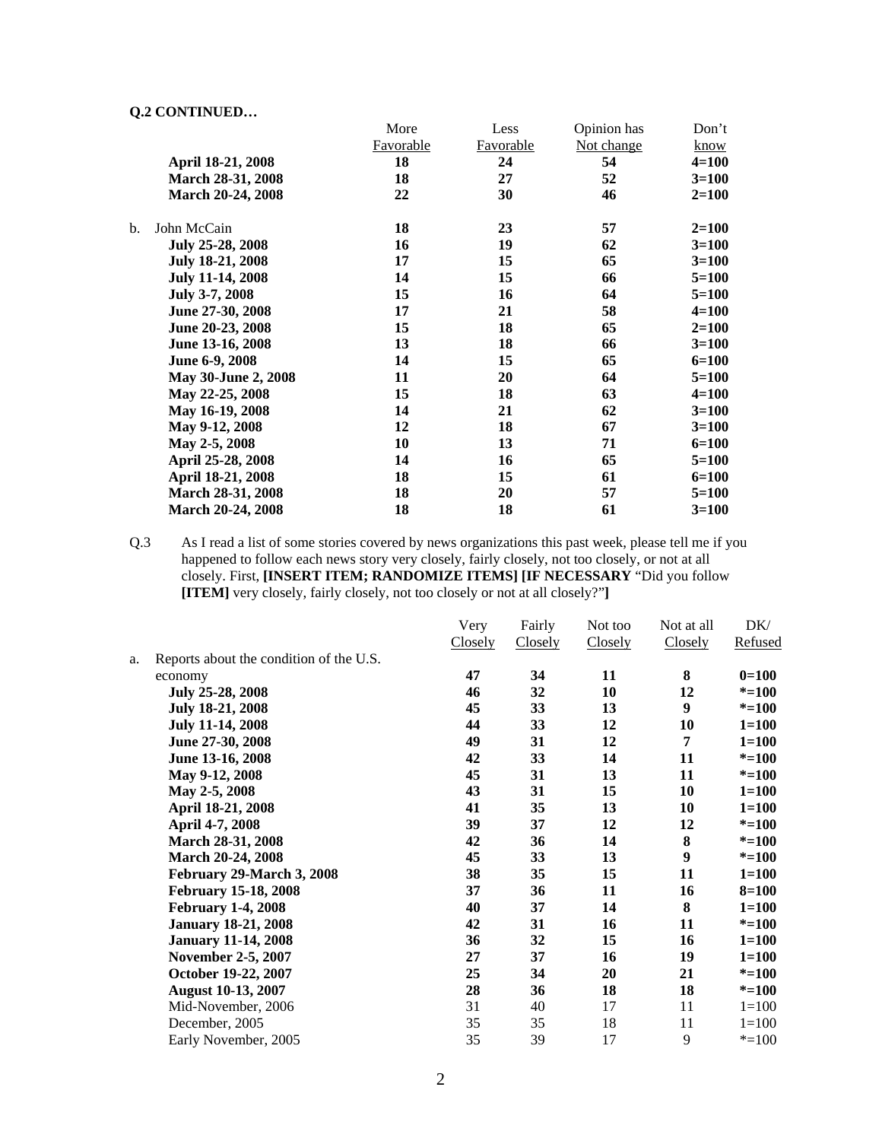| Yw contribution          |           |           |             |             |
|--------------------------|-----------|-----------|-------------|-------------|
|                          | More      | Less      | Opinion has | Don't       |
|                          | Favorable | Favorable | Not change  | <u>know</u> |
| April 18-21, 2008        | 18        | 24        | 54          | $4 = 100$   |
| March 28-31, 2008        | 18        | 27        | 52          | $3=100$     |
| March 20-24, 2008        | 22        | 30        | 46          | $2=100$     |
| b.<br>John McCain        | 18        | 23        | 57          | $2=100$     |
| July 25-28, 2008         | 16        | 19        | 62          | $3=100$     |
| <b>July 18-21, 2008</b>  | 17        | 15        | 65          | $3=100$     |
| July 11-14, 2008         | 14        | 15        | 66          | $5 = 100$   |
| July 3-7, 2008           | 15        | 16        | 64          | $5=100$     |
| June 27-30, 2008         | 17        | 21        | 58          | $4 = 100$   |
| June 20-23, 2008         | 15        | 18        | 65          | $2=100$     |
| June 13-16, 2008         | 13        | 18        | 66          | $3 = 100$   |
| June 6-9, 2008           | 14        | 15        | 65          | $6 = 100$   |
| May 30-June 2, 2008      | 11        | 20        | 64          | $5=100$     |
| May 22-25, 2008          | 15        | 18        | 63          | $4 = 100$   |
| May 16-19, 2008          | 14        | 21        | 62          | $3=100$     |
| May 9-12, 2008           | 12        | 18        | 67          | $3 = 100$   |
| May 2-5, 2008            | 10        | 13        | 71          | $6 = 100$   |
| April 25-28, 2008        | 14        | 16        | 65          | $5=100$     |
| April 18-21, 2008        | 18        | 15        | 61          | $6 = 100$   |
| March 28-31, 2008        | 18        | 20        | 57          | $5=100$     |
| <b>March 20-24, 2008</b> | 18        | 18        | 61          | $3=100$     |

Q.3 As I read a list of some stories covered by news organizations this past week, please tell me if you happened to follow each news story very closely, fairly closely, not too closely, or not at all closely. First, **[INSERT ITEM; RANDOMIZE ITEMS] [IF NECESSARY** "Did you follow **[ITEM]** very closely, fairly closely, not too closely or not at all closely?"**]** 

|    |                                         | Very    | Fairly  | Not too | Not at all | DK/       |
|----|-----------------------------------------|---------|---------|---------|------------|-----------|
|    |                                         | Closely | Closely | Closely | Closely    | Refused   |
| a. | Reports about the condition of the U.S. |         |         |         |            |           |
|    | economy                                 | 47      | 34      | 11      | 8          | $0=100$   |
|    | July 25-28, 2008                        | 46      | 32      | 10      | 12         | $* = 100$ |
|    | July 18-21, 2008                        | 45      | 33      | 13      | 9          | $* = 100$ |
|    | <b>July 11-14, 2008</b>                 | 44      | 33      | 12      | 10         | $1 = 100$ |
|    | June 27-30, 2008                        | 49      | 31      | 12      | 7          | $1 = 100$ |
|    | June 13-16, 2008                        | 42      | 33      | 14      | 11         | $* = 100$ |
|    | May 9-12, 2008                          | 45      | 31      | 13      | 11         | $* = 100$ |
|    | May 2-5, 2008                           | 43      | 31      | 15      | 10         | $1 = 100$ |
|    | April 18-21, 2008                       | 41      | 35      | 13      | 10         | $1 = 100$ |
|    | April 4-7, 2008                         | 39      | 37      | 12      | 12         | $* = 100$ |
|    | March 28-31, 2008                       | 42      | 36      | 14      | 8          | $* = 100$ |
|    | March 20-24, 2008                       | 45      | 33      | 13      | 9          | $* = 100$ |
|    | February 29-March 3, 2008               | 38      | 35      | 15      | 11         | $1 = 100$ |
|    | <b>February 15-18, 2008</b>             | 37      | 36      | 11      | 16         | $8 = 100$ |
|    | <b>February 1-4, 2008</b>               | 40      | 37      | 14      | 8          | $1 = 100$ |
|    | <b>January 18-21, 2008</b>              | 42      | 31      | 16      | 11         | $* = 100$ |
|    | <b>January 11-14, 2008</b>              | 36      | 32      | 15      | 16         | $1 = 100$ |
|    | <b>November 2-5, 2007</b>               | 27      | 37      | 16      | 19         | $1 = 100$ |
|    | October 19-22, 2007                     | 25      | 34      | 20      | 21         | $* = 100$ |
|    | <b>August 10-13, 2007</b>               | 28      | 36      | 18      | 18         | $* = 100$ |
|    | Mid-November, 2006                      | 31      | 40      | 17      | 11         | $1 = 100$ |
|    | December, 2005                          | 35      | 35      | 18      | 11         | $1 = 100$ |
|    | Early November, 2005                    | 35      | 39      | 17      | 9          | $* = 100$ |
|    |                                         |         |         |         |            |           |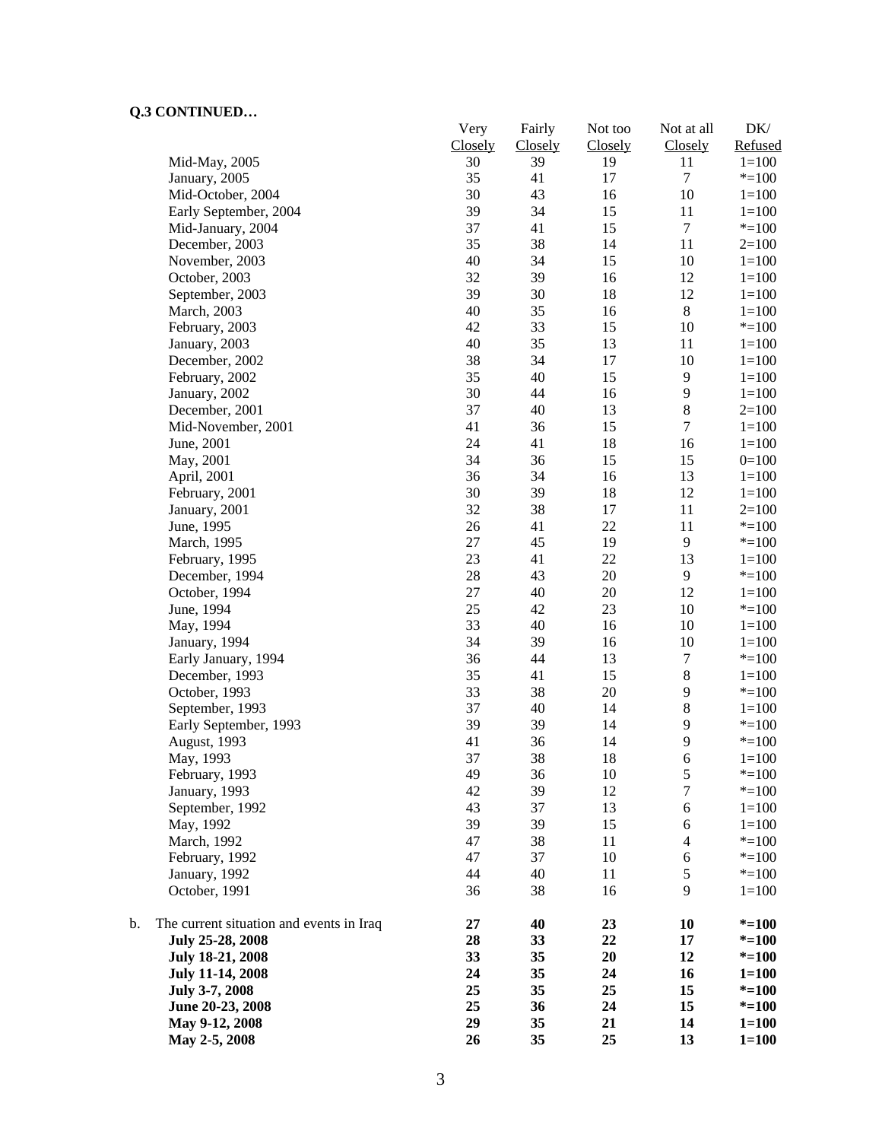|    |                                          | Very<br>Closely | Fairly<br>Closely | Not too<br>Closely | Not at all<br>Closely   | DK/<br>Refused |
|----|------------------------------------------|-----------------|-------------------|--------------------|-------------------------|----------------|
|    | Mid-May, 2005                            | 30              | 39                | 19                 | 11                      | $1 = 100$      |
|    | January, 2005                            | 35              | 41                | 17                 | $\boldsymbol{7}$        | $* = 100$      |
|    | Mid-October, 2004                        | 30              | 43                | 16                 | $10\,$                  | $1 = 100$      |
|    | Early September, 2004                    | 39              | 34                | 15                 | 11                      | $1 = 100$      |
|    | Mid-January, 2004                        | 37              | 41                | 15                 | $\boldsymbol{7}$        | $* = 100$      |
|    | December, 2003                           | 35              | 38                | 14                 | 11                      | $2=100$        |
|    | November, 2003                           | 40              | 34                | 15                 | 10                      | $1 = 100$      |
|    | October, 2003                            | 32              | 39                | 16                 | 12                      | $1 = 100$      |
|    | September, 2003                          | 39              | 30                | 18                 | 12                      | $1 = 100$      |
|    | March, 2003                              | 40              | 35                | 16                 | $8\,$                   | $1 = 100$      |
|    | February, 2003                           | 42              | 33                | 15                 | $10\,$                  | $* = 100$      |
|    | January, 2003                            | 40              | 35                | 13                 | 11                      | $1 = 100$      |
|    | December, 2002                           | 38              | 34                | 17                 | $10\,$                  | $1 = 100$      |
|    | February, 2002                           | 35              | 40                | 15                 | 9                       | $1 = 100$      |
|    | January, 2002                            | 30              | 44                | 16                 | $\mathbf{9}$            | $1 = 100$      |
|    | December, 2001                           | 37              | 40                | 13                 | $\bf 8$                 | $2=100$        |
|    | Mid-November, 2001                       | 41              | 36                | 15                 | $\tau$                  | $1 = 100$      |
|    | June, 2001                               | 24              | 41                | 18                 | 16                      | $1 = 100$      |
|    | May, 2001                                | 34              | 36                | 15                 | 15                      | $0=100$        |
|    | April, 2001                              | 36              | 34                | 16                 | 13                      | $1=100$        |
|    | February, 2001                           | 30              | 39                | 18                 | 12                      | $1 = 100$      |
|    | January, 2001                            | 32              | 38                | 17                 | 11                      | $2=100$        |
|    | June, 1995                               | 26              | 41                | 22                 | 11                      | $* = 100$      |
|    | March, 1995                              | 27              | 45                | 19                 | 9                       | $* = 100$      |
|    | February, 1995                           | 23              | 41                | 22                 | 13                      | $1 = 100$      |
|    | December, 1994                           | 28              | 43                | 20                 | 9                       | $* = 100$      |
|    | October, 1994                            | 27              | 40                | 20                 | 12                      | $1 = 100$      |
|    | June, 1994                               | 25              | 42                | 23                 | 10                      | $* = 100$      |
|    | May, 1994                                | 33              | 40                | 16                 | $10\,$                  | $1 = 100$      |
|    | January, 1994                            | 34              | 39                | 16                 | 10                      | $1 = 100$      |
|    | Early January, 1994                      | 36              | 44                | 13                 | $\boldsymbol{7}$        | $* = 100$      |
|    | December, 1993                           | 35              | 41                | 15                 | $\,8\,$                 | $1 = 100$      |
|    | October, 1993                            | 33              | 38                | 20                 | 9                       | $* = 100$      |
|    | September, 1993                          | 37              | 40                | 14                 | $8\,$                   | $1 = 100$      |
|    | Early September, 1993                    | 39              | 39                | 14                 | 9                       | $* = 100$      |
|    | August, 1993                             | 41              | 36                | 14                 | 9                       | $* = 100$      |
|    |                                          | 37              | 38                | 18                 | 6                       | $1 = 100$      |
|    | May, 1993<br>February, 1993              | 49              | 36                | 10                 | $\mathfrak s$           | $* = 100$      |
|    | January, 1993                            | 42              | 39                | 12                 | $\boldsymbol{7}$        | $* = 100$      |
|    | September, 1992                          | 43              | 37                | 13                 | 6                       | $1 = 100$      |
|    | May, 1992                                | 39              | 39                | 15                 | 6                       | $1 = 100$      |
|    | March, 1992                              | 47              | 38                | 11                 | $\overline{\mathbf{4}}$ | $* = 100$      |
|    | February, 1992                           | 47              | 37                | 10                 | $\sqrt{6}$              | $* = 100$      |
|    | January, 1992                            | 44              | 40                | 11                 | $\mathfrak s$           | $* = 100$      |
|    |                                          |                 |                   |                    | 9                       |                |
|    | October, 1991                            | 36              | 38                | 16                 |                         | $1 = 100$      |
| b. | The current situation and events in Iraq | 27              | 40                | 23                 | 10                      | $* = 100$      |
|    | July 25-28, 2008                         | 28              | 33                | 22                 | 17                      | $* = 100$      |
|    | July 18-21, 2008                         | 33              | 35                | 20                 | 12                      | $* = 100$      |
|    | <b>July 11-14, 2008</b>                  | 24              | 35                | 24                 | 16                      | $1 = 100$      |
|    | July 3-7, 2008                           | 25              | 35                | 25                 | 15                      | $* = 100$      |
|    | June 20-23, 2008                         | 25              | 36                | 24                 | 15                      | $* = 100$      |
|    | May 9-12, 2008                           | 29              | 35                | 21                 | 14                      | $1 = 100$      |
|    | May 2-5, 2008                            | 26              | 35                | 25                 | 13                      | $1 = 100$      |
|    |                                          |                 |                   |                    |                         |                |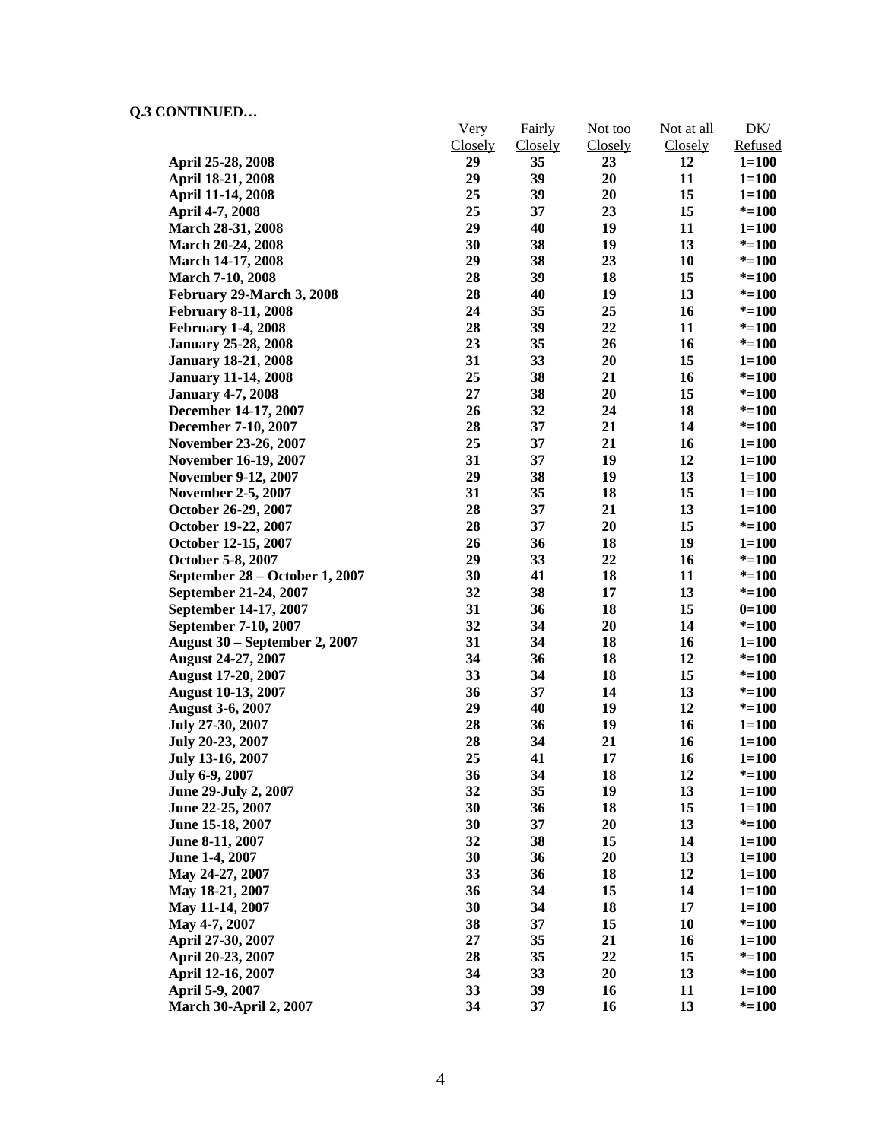|                                      | Very           | Fairly         | Not too | Not at all | DK/       |
|--------------------------------------|----------------|----------------|---------|------------|-----------|
|                                      | <b>Closely</b> | <b>Closely</b> | Closely | Closely    | Refused   |
| April 25-28, 2008                    | 29             | 35             | 23      | 12         | $1 = 100$ |
| April 18-21, 2008                    | 29             | 39             | 20      | 11         | $1 = 100$ |
| April 11-14, 2008                    | 25             | 39             | 20      | 15         | $1 = 100$ |
| April 4-7, 2008                      | 25             | 37             | 23      | 15         | $* = 100$ |
| March 28-31, 2008                    | 29             | 40             | 19      | 11         | $1 = 100$ |
| <b>March 20-24, 2008</b>             | 30             | 38             | 19      | 13         | $* = 100$ |
| <b>March 14-17, 2008</b>             | 29             | 38             | 23      | 10         | $* = 100$ |
| <b>March 7-10, 2008</b>              | 28             | 39             | 18      | 15         | $* = 100$ |
| February 29-March 3, 2008            | 28             | 40             | 19      | 13         | $* = 100$ |
| <b>February 8-11, 2008</b>           | 24             | 35             | 25      | 16         | $* = 100$ |
| <b>February 1-4, 2008</b>            | 28             | 39             | 22      | 11         | $* = 100$ |
| <b>January 25-28, 2008</b>           | 23             | 35             | 26      | 16         | $* = 100$ |
| <b>January 18-21, 2008</b>           | 31             | 33             | 20      | 15         | $1 = 100$ |
| <b>January 11-14, 2008</b>           | 25             | 38             | 21      | 16         | $* = 100$ |
| <b>January 4-7, 2008</b>             | 27             | 38             | 20      | 15         | $* = 100$ |
| December 14-17, 2007                 | 26             | 32             | 24      | 18         | $* = 100$ |
| December 7-10, 2007                  | 28             | 37             | 21      | 14         | $* = 100$ |
| November 23-26, 2007                 | 25             | 37             | 21      | 16         | $1 = 100$ |
| November 16-19, 2007                 | 31             | 37             | 19      | 12         | $1 = 100$ |
| <b>November 9-12, 2007</b>           | 29             | 38             | 19      | 13         | $1 = 100$ |
| <b>November 2-5, 2007</b>            | 31             | 35             | 18      | 15         | $1 = 100$ |
| October 26-29, 2007                  | 28             | 37             | 21      | 13         | $1 = 100$ |
| October 19-22, 2007                  | 28             | 37             | 20      | 15         | $* = 100$ |
| October 12-15, 2007                  | 26             | 36             | 18      | 19         | $1 = 100$ |
| October 5-8, 2007                    | 29             | 33             | 22      | 16         | $* = 100$ |
| September 28 – October 1, 2007       | 30             | 41             | 18      | 11         | $* = 100$ |
| September 21-24, 2007                | 32             | 38             | 17      | 13         | $* = 100$ |
| September 14-17, 2007                | 31             | 36             | 18      | 15         | $0=100$   |
| September 7-10, 2007                 | 32             | 34             | 20      | 14         | $* = 100$ |
| <b>August 30 – September 2, 2007</b> | 31             | 34             | 18      | 16         | $1 = 100$ |
| <b>August 24-27, 2007</b>            | 34             | 36             | 18      | 12         | $* = 100$ |
| <b>August 17-20, 2007</b>            | 33             | 34             | 18      | 15         | $* = 100$ |
| <b>August 10-13, 2007</b>            | 36             | 37             | 14      | 13         | $* = 100$ |
| <b>August 3-6, 2007</b>              | 29             | 40             | 19      | 12         | $* = 100$ |
| July 27-30, 2007                     | 28             | 36             | 19      | 16         | $1 = 100$ |
| July 20-23, 2007                     | 28             | 34             | 21      | 16         | $1 = 100$ |
| July 13-16, 2007                     | 25             | 41             | 17      | 16         | $1 = 100$ |
| July 6-9, 2007                       | 36             | 34             | 18      | 12         | $* = 100$ |
| June 29-July 2, 2007                 | 32             | 35             | 19      | 13         | $1 = 100$ |
| June 22-25, 2007                     | 30             | 36             | 18      | 15         | $1 = 100$ |
| June 15-18, 2007                     | 30             | 37             | 20      | 13         | $* = 100$ |
| June 8-11, 2007                      | 32             | 38             | 15      | 14         | $1 = 100$ |
| June 1-4, 2007                       | 30             | 36             | 20      | 13         | $1 = 100$ |
| May 24-27, 2007                      | 33             | 36             | 18      | 12         | $1 = 100$ |
| May 18-21, 2007                      | 36             | 34             | 15      | 14         | $1 = 100$ |
| May 11-14, 2007                      | 30             | 34             | 18      | 17         | $1 = 100$ |
| May 4-7, 2007                        | 38             | 37             | 15      | 10         | $* = 100$ |
| April 27-30, 2007                    | 27             | 35             | 21      | 16         | $1=100$   |
| April 20-23, 2007                    | 28             | 35             | 22      | 15         | $* = 100$ |
| April 12-16, 2007                    | 34             | 33             | 20      | 13         | $* = 100$ |
| April 5-9, 2007                      | 33             | 39             | 16      | 11         | $1 = 100$ |
| <b>March 30-April 2, 2007</b>        | 34             | 37             | 16      | 13         | $* = 100$ |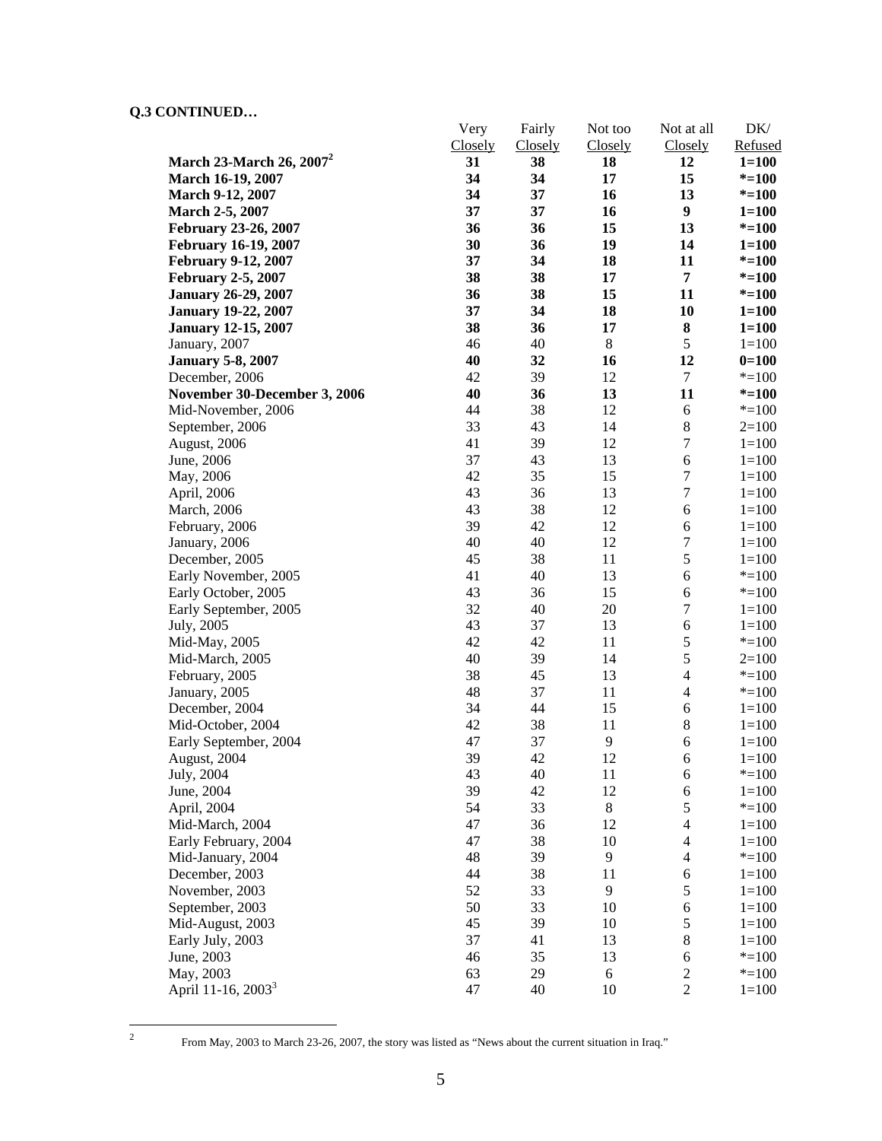|                                              | Very     | Fairly         | Not too        | Not at all               | DK/                    |
|----------------------------------------------|----------|----------------|----------------|--------------------------|------------------------|
|                                              | Closely  | <b>Closely</b> | <b>Closely</b> | <b>Closely</b><br>12     | Refused                |
| March 23-March 26, 2007 <sup>2</sup>         | 31<br>34 | 38<br>34       | 18<br>17       | 15                       | $1 = 100$<br>$* = 100$ |
| March 16-19, 2007<br>March 9-12, 2007        | 34       | 37             | 16             | 13                       | $* = 100$              |
| March 2-5, 2007                              | 37       | 37             | 16             | $\boldsymbol{9}$         | $1 = 100$              |
|                                              | 36       | 36             | 15             | 13                       | $* = 100$              |
| February 23-26, 2007<br>February 16-19, 2007 | 30       | 36             | 19             | 14                       | $1 = 100$              |
| <b>February 9-12, 2007</b>                   | 37       | 34             | 18             | 11                       | $* = 100$              |
| <b>February 2-5, 2007</b>                    | 38       | 38             | 17             | $\overline{7}$           | $* = 100$              |
| <b>January 26-29, 2007</b>                   | 36       | 38             | 15             | 11                       | $* = 100$              |
| <b>January 19-22, 2007</b>                   | 37       | 34             | 18             | 10                       | $1 = 100$              |
| <b>January 12-15, 2007</b>                   | 38       | 36             | 17             | ${\bf 8}$                | $1 = 100$              |
| January, 2007                                | 46       | 40             | 8              | $\mathfrak s$            | $1 = 100$              |
| <b>January 5-8, 2007</b>                     | 40       | 32             | 16             | 12                       | $0=100$                |
| December, 2006                               | 42       | 39             | 12             | $\tau$                   | $* = 100$              |
| November 30-December 3, 2006                 | 40       | 36             | 13             | 11                       | $* = 100$              |
| Mid-November, 2006                           | 44       | 38             | 12             | 6                        | $* = 100$              |
| September, 2006                              | 33       | 43             | 14             | $8\,$                    | $2=100$                |
| August, 2006                                 | 41       | 39             | 12             | $\sqrt{ }$               | $1 = 100$              |
| June, 2006                                   | 37       | 43             | 13             | 6                        | $1 = 100$              |
|                                              | 42       | 35             | 15             | $\boldsymbol{7}$         | $1 = 100$              |
| May, 2006<br>April, 2006                     | 43       | 36             | 13             | $\boldsymbol{7}$         | $1 = 100$              |
| March, 2006                                  | 43       | 38             | 12             | 6                        | $1=100$                |
| February, 2006                               | 39       | 42             | 12             | 6                        | $1 = 100$              |
|                                              | 40       | 40             | 12             | $\boldsymbol{7}$         | $1 = 100$              |
| January, 2006                                | 45       | 38             | 11             | 5                        | $1 = 100$              |
| December, 2005                               | 41       | 40             | 13             | 6                        | $* = 100$              |
| Early November, 2005                         | 43       | 36             | 15             | 6                        | $* = 100$              |
| Early October, 2005                          | 32       | 40             | 20             | $\boldsymbol{7}$         | $1=100$                |
| Early September, 2005<br>July, 2005          | 43       | 37             | 13             | 6                        | $1 = 100$              |
| Mid-May, 2005                                | 42       | 42             | 11             | 5                        | $* = 100$              |
| Mid-March, 2005                              | 40       | 39             | 14             | 5                        | $2=100$                |
| February, 2005                               | 38       | 45             | 13             | $\overline{4}$           | $* = 100$              |
| January, 2005                                | 48       | 37             | 11             | $\overline{4}$           | $* = 100$              |
| December, 2004                               | 34       | 44             | 15             | 6                        | $1 = 100$              |
| Mid-October, 2004                            | 42       | 38             | 11             | 8                        | $1 = 100$              |
| Early September, 2004                        | 47       | 37             | 9              | 6                        | $1 = 100$              |
| August, 2004                                 | 39       | 42             | 12             | 6                        | $1 = 100$              |
| July, 2004                                   | 43       | 40             | 11             | 6                        | $* = 100$              |
| June, 2004                                   | 39       | 42             | 12             | $\boldsymbol{6}$         | $1 = 100$              |
| April, 2004                                  | 54       | 33             | $\,8\,$        | 5                        | $* = 100$              |
| Mid-March, 2004                              | 47       | 36             | 12             | $\overline{\mathcal{L}}$ | $1 = 100$              |
| Early February, 2004                         | 47       | 38             | 10             | $\overline{4}$           | $1 = 100$              |
| Mid-January, 2004                            | 48       | 39             | 9              | $\overline{\mathcal{L}}$ | $* = 100$              |
| December, 2003                               | 44       | 38             | 11             | 6                        | $1 = 100$              |
| November, 2003                               | 52       | 33             | 9              | 5                        | $1 = 100$              |
| September, 2003                              | 50       | 33             | 10             | 6                        | $1 = 100$              |
| Mid-August, 2003                             | 45       | 39             | 10             | $\mathfrak s$            | $1 = 100$              |
| Early July, 2003                             | 37       | 41             | 13             | $8\,$                    | $1 = 100$              |
| June, 2003                                   | 46       | 35             | 13             | 6                        | $* = 100$              |
| May, 2003                                    | 63       | 29             | 6              | $\sqrt{2}$               | $* = 100$              |
| April 11-16, 2003 <sup>3</sup>               | 47       | 40             | 10             | $\overline{c}$           | $1 = 100$              |
|                                              |          |                |                |                          |                        |

 $\frac{1}{2}$ 

From May, 2003 to March 23-26, 2007, the story was listed as "News about the current situation in Iraq."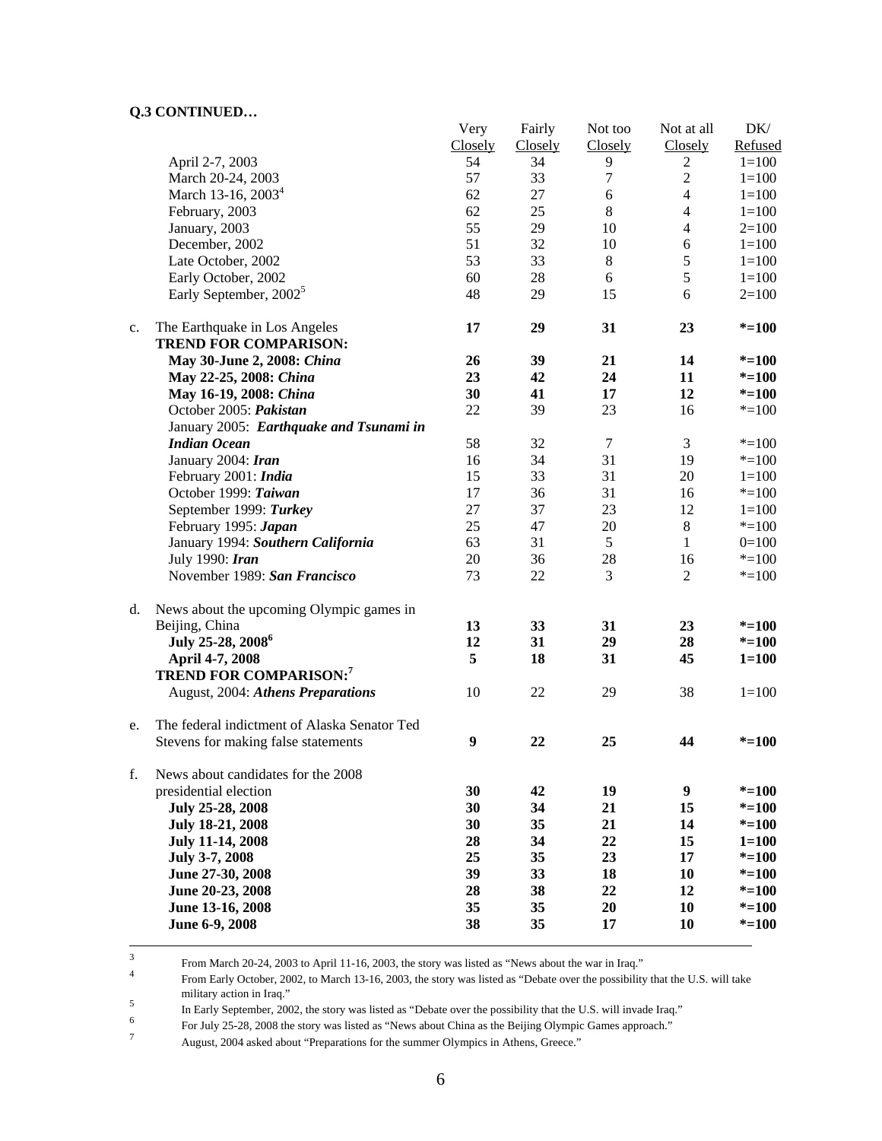| Closely<br>Closely<br>Closely<br>Closely<br>April 2-7, 2003<br>54<br>34<br>9<br>$1 = 100$<br>$\overline{2}$<br>57<br>$\overline{2}$<br>March 20-24, 2003<br>33<br>7<br>$1 = 100$<br>March 13-16, 2003 <sup>4</sup><br>62<br>27<br>$\sqrt{6}$<br>$\overline{4}$<br>$1 = 100$<br>$8\,$<br>February, 2003<br>62<br>25<br>$\overline{4}$<br>$1 = 100$<br>55<br>29<br>$\overline{4}$<br>January, 2003<br>10<br>$2=100$<br>51<br>December, 2002<br>32<br>6<br>10<br>$1 = 100$<br>53<br>33<br>$8\,$<br>$\sqrt{5}$<br>Late October, 2002<br>$1 = 100$<br>$\sqrt{5}$<br>Early October, 2002<br>60<br>28<br>6<br>$1 = 100$<br>Early September, 2002 <sup>5</sup><br>48<br>29<br>15<br>6<br>$2=100$<br>31<br>17<br>29<br>23<br>$* = 100$<br>The Earthquake in Los Angeles<br>$\mathbf{c}$ .<br><b>TREND FOR COMPARISON:</b><br>May 30-June 2, 2008: China<br>26<br>39<br>21<br>14<br>$* = 100$<br>23<br>24<br>42<br>11<br>$* = 100$<br>May 22-25, 2008: China<br>30<br>$* = 100$<br>May 16-19, 2008: China<br>41<br>17<br>12<br>October 2005: Pakistan<br>22<br>39<br>23<br>16<br>$* = 100$<br>January 2005: Earthquake and Tsunami in<br><b>Indian Ocean</b><br>58<br>$\boldsymbol{7}$<br>3<br>32<br>$* = 100$<br>31<br>19<br>January 2004: Iran<br>16<br>34<br>$* = 100$<br>33<br>31<br>February 2001: India<br>15<br>20<br>$1 = 100$<br>31<br>October 1999: Taiwan<br>17<br>36<br>16<br>$* = 100$<br>27<br>23<br>September 1999: Turkey<br>37<br>12<br>$1 = 100$<br>25<br>$\,8\,$<br>February 1995: Japan<br>47<br>20<br>$*=100$<br>5<br>January 1994: Southern California<br>63<br>31<br>$0=100$<br>1<br>28<br>July 1990: Iran<br>20<br>36<br>16<br>$* = 100$<br>November 1989: San Francisco<br>73<br>22<br>3<br>$\overline{2}$<br>$* = 100$<br>d.<br>News about the upcoming Olympic games in<br>Beijing, China<br>13<br>33<br>31<br>23<br>$* = 100$<br>July 25-28, 2008 <sup>6</sup><br>12<br>31<br>29<br>28<br>$* = 100$<br>5<br>18<br>31<br>45<br>April 4-7, 2008<br>$1 = 100$<br><b>TREND FOR COMPARISON:7</b><br>38<br>August, 2004: Athens Preparations<br>10<br>22<br>$1 = 100$<br>29<br>The federal indictment of Alaska Senator Ted<br>e.<br>$\boldsymbol{9}$<br>Stevens for making false statements<br>22<br>25<br>44<br>$* = 100$<br>f.<br>News about candidates for the 2008<br>30<br>19<br>9<br>presidential election<br>42<br>$* = 100$<br>July 25-28, 2008<br>30<br>21<br>15<br>34<br>$* = 100$<br>35<br>21<br>14<br>$* = 100$<br>July 18-21, 2008<br>30<br>34<br>22<br>15<br><b>July 11-14, 2008</b><br>28<br>$1 = 100$<br>July 3-7, 2008<br>25<br>35<br>23<br>17<br>$* = 100$<br>June 27-30, 2008<br>39<br>33<br>18<br>10<br>$* = 100$<br>June 20-23, 2008<br>22<br>28<br>38<br>12<br>$* = 100$<br>June 13-16, 2008<br>35<br>35<br>20<br>10<br>$* = 100$<br>38<br>June 6-9, 2008<br>35<br>17<br>10<br>$* = 100$<br>3 |  | Very | Fairly | Not too | Not at all | DK/     |
|----------------------------------------------------------------------------------------------------------------------------------------------------------------------------------------------------------------------------------------------------------------------------------------------------------------------------------------------------------------------------------------------------------------------------------------------------------------------------------------------------------------------------------------------------------------------------------------------------------------------------------------------------------------------------------------------------------------------------------------------------------------------------------------------------------------------------------------------------------------------------------------------------------------------------------------------------------------------------------------------------------------------------------------------------------------------------------------------------------------------------------------------------------------------------------------------------------------------------------------------------------------------------------------------------------------------------------------------------------------------------------------------------------------------------------------------------------------------------------------------------------------------------------------------------------------------------------------------------------------------------------------------------------------------------------------------------------------------------------------------------------------------------------------------------------------------------------------------------------------------------------------------------------------------------------------------------------------------------------------------------------------------------------------------------------------------------------------------------------------------------------------------------------------------------------------------------------------------------------------------------------------------------------------------------------------------------------------------------------------------------------------------------------------------------------------------------------------------------------------------------------------------------------------------------------------------------------------------------------------------------------------------------------------------------------------------------------------------------------------------------------------------------------------------------------------------------------|--|------|--------|---------|------------|---------|
|                                                                                                                                                                                                                                                                                                                                                                                                                                                                                                                                                                                                                                                                                                                                                                                                                                                                                                                                                                                                                                                                                                                                                                                                                                                                                                                                                                                                                                                                                                                                                                                                                                                                                                                                                                                                                                                                                                                                                                                                                                                                                                                                                                                                                                                                                                                                                                                                                                                                                                                                                                                                                                                                                                                                                                                                                                  |  |      |        |         |            | Refused |
|                                                                                                                                                                                                                                                                                                                                                                                                                                                                                                                                                                                                                                                                                                                                                                                                                                                                                                                                                                                                                                                                                                                                                                                                                                                                                                                                                                                                                                                                                                                                                                                                                                                                                                                                                                                                                                                                                                                                                                                                                                                                                                                                                                                                                                                                                                                                                                                                                                                                                                                                                                                                                                                                                                                                                                                                                                  |  |      |        |         |            |         |
|                                                                                                                                                                                                                                                                                                                                                                                                                                                                                                                                                                                                                                                                                                                                                                                                                                                                                                                                                                                                                                                                                                                                                                                                                                                                                                                                                                                                                                                                                                                                                                                                                                                                                                                                                                                                                                                                                                                                                                                                                                                                                                                                                                                                                                                                                                                                                                                                                                                                                                                                                                                                                                                                                                                                                                                                                                  |  |      |        |         |            |         |
|                                                                                                                                                                                                                                                                                                                                                                                                                                                                                                                                                                                                                                                                                                                                                                                                                                                                                                                                                                                                                                                                                                                                                                                                                                                                                                                                                                                                                                                                                                                                                                                                                                                                                                                                                                                                                                                                                                                                                                                                                                                                                                                                                                                                                                                                                                                                                                                                                                                                                                                                                                                                                                                                                                                                                                                                                                  |  |      |        |         |            |         |
|                                                                                                                                                                                                                                                                                                                                                                                                                                                                                                                                                                                                                                                                                                                                                                                                                                                                                                                                                                                                                                                                                                                                                                                                                                                                                                                                                                                                                                                                                                                                                                                                                                                                                                                                                                                                                                                                                                                                                                                                                                                                                                                                                                                                                                                                                                                                                                                                                                                                                                                                                                                                                                                                                                                                                                                                                                  |  |      |        |         |            |         |
|                                                                                                                                                                                                                                                                                                                                                                                                                                                                                                                                                                                                                                                                                                                                                                                                                                                                                                                                                                                                                                                                                                                                                                                                                                                                                                                                                                                                                                                                                                                                                                                                                                                                                                                                                                                                                                                                                                                                                                                                                                                                                                                                                                                                                                                                                                                                                                                                                                                                                                                                                                                                                                                                                                                                                                                                                                  |  |      |        |         |            |         |
|                                                                                                                                                                                                                                                                                                                                                                                                                                                                                                                                                                                                                                                                                                                                                                                                                                                                                                                                                                                                                                                                                                                                                                                                                                                                                                                                                                                                                                                                                                                                                                                                                                                                                                                                                                                                                                                                                                                                                                                                                                                                                                                                                                                                                                                                                                                                                                                                                                                                                                                                                                                                                                                                                                                                                                                                                                  |  |      |        |         |            |         |
|                                                                                                                                                                                                                                                                                                                                                                                                                                                                                                                                                                                                                                                                                                                                                                                                                                                                                                                                                                                                                                                                                                                                                                                                                                                                                                                                                                                                                                                                                                                                                                                                                                                                                                                                                                                                                                                                                                                                                                                                                                                                                                                                                                                                                                                                                                                                                                                                                                                                                                                                                                                                                                                                                                                                                                                                                                  |  |      |        |         |            |         |
|                                                                                                                                                                                                                                                                                                                                                                                                                                                                                                                                                                                                                                                                                                                                                                                                                                                                                                                                                                                                                                                                                                                                                                                                                                                                                                                                                                                                                                                                                                                                                                                                                                                                                                                                                                                                                                                                                                                                                                                                                                                                                                                                                                                                                                                                                                                                                                                                                                                                                                                                                                                                                                                                                                                                                                                                                                  |  |      |        |         |            |         |
|                                                                                                                                                                                                                                                                                                                                                                                                                                                                                                                                                                                                                                                                                                                                                                                                                                                                                                                                                                                                                                                                                                                                                                                                                                                                                                                                                                                                                                                                                                                                                                                                                                                                                                                                                                                                                                                                                                                                                                                                                                                                                                                                                                                                                                                                                                                                                                                                                                                                                                                                                                                                                                                                                                                                                                                                                                  |  |      |        |         |            |         |
|                                                                                                                                                                                                                                                                                                                                                                                                                                                                                                                                                                                                                                                                                                                                                                                                                                                                                                                                                                                                                                                                                                                                                                                                                                                                                                                                                                                                                                                                                                                                                                                                                                                                                                                                                                                                                                                                                                                                                                                                                                                                                                                                                                                                                                                                                                                                                                                                                                                                                                                                                                                                                                                                                                                                                                                                                                  |  |      |        |         |            |         |
|                                                                                                                                                                                                                                                                                                                                                                                                                                                                                                                                                                                                                                                                                                                                                                                                                                                                                                                                                                                                                                                                                                                                                                                                                                                                                                                                                                                                                                                                                                                                                                                                                                                                                                                                                                                                                                                                                                                                                                                                                                                                                                                                                                                                                                                                                                                                                                                                                                                                                                                                                                                                                                                                                                                                                                                                                                  |  |      |        |         |            |         |
|                                                                                                                                                                                                                                                                                                                                                                                                                                                                                                                                                                                                                                                                                                                                                                                                                                                                                                                                                                                                                                                                                                                                                                                                                                                                                                                                                                                                                                                                                                                                                                                                                                                                                                                                                                                                                                                                                                                                                                                                                                                                                                                                                                                                                                                                                                                                                                                                                                                                                                                                                                                                                                                                                                                                                                                                                                  |  |      |        |         |            |         |
|                                                                                                                                                                                                                                                                                                                                                                                                                                                                                                                                                                                                                                                                                                                                                                                                                                                                                                                                                                                                                                                                                                                                                                                                                                                                                                                                                                                                                                                                                                                                                                                                                                                                                                                                                                                                                                                                                                                                                                                                                                                                                                                                                                                                                                                                                                                                                                                                                                                                                                                                                                                                                                                                                                                                                                                                                                  |  |      |        |         |            |         |
|                                                                                                                                                                                                                                                                                                                                                                                                                                                                                                                                                                                                                                                                                                                                                                                                                                                                                                                                                                                                                                                                                                                                                                                                                                                                                                                                                                                                                                                                                                                                                                                                                                                                                                                                                                                                                                                                                                                                                                                                                                                                                                                                                                                                                                                                                                                                                                                                                                                                                                                                                                                                                                                                                                                                                                                                                                  |  |      |        |         |            |         |
|                                                                                                                                                                                                                                                                                                                                                                                                                                                                                                                                                                                                                                                                                                                                                                                                                                                                                                                                                                                                                                                                                                                                                                                                                                                                                                                                                                                                                                                                                                                                                                                                                                                                                                                                                                                                                                                                                                                                                                                                                                                                                                                                                                                                                                                                                                                                                                                                                                                                                                                                                                                                                                                                                                                                                                                                                                  |  |      |        |         |            |         |
|                                                                                                                                                                                                                                                                                                                                                                                                                                                                                                                                                                                                                                                                                                                                                                                                                                                                                                                                                                                                                                                                                                                                                                                                                                                                                                                                                                                                                                                                                                                                                                                                                                                                                                                                                                                                                                                                                                                                                                                                                                                                                                                                                                                                                                                                                                                                                                                                                                                                                                                                                                                                                                                                                                                                                                                                                                  |  |      |        |         |            |         |
|                                                                                                                                                                                                                                                                                                                                                                                                                                                                                                                                                                                                                                                                                                                                                                                                                                                                                                                                                                                                                                                                                                                                                                                                                                                                                                                                                                                                                                                                                                                                                                                                                                                                                                                                                                                                                                                                                                                                                                                                                                                                                                                                                                                                                                                                                                                                                                                                                                                                                                                                                                                                                                                                                                                                                                                                                                  |  |      |        |         |            |         |
|                                                                                                                                                                                                                                                                                                                                                                                                                                                                                                                                                                                                                                                                                                                                                                                                                                                                                                                                                                                                                                                                                                                                                                                                                                                                                                                                                                                                                                                                                                                                                                                                                                                                                                                                                                                                                                                                                                                                                                                                                                                                                                                                                                                                                                                                                                                                                                                                                                                                                                                                                                                                                                                                                                                                                                                                                                  |  |      |        |         |            |         |
|                                                                                                                                                                                                                                                                                                                                                                                                                                                                                                                                                                                                                                                                                                                                                                                                                                                                                                                                                                                                                                                                                                                                                                                                                                                                                                                                                                                                                                                                                                                                                                                                                                                                                                                                                                                                                                                                                                                                                                                                                                                                                                                                                                                                                                                                                                                                                                                                                                                                                                                                                                                                                                                                                                                                                                                                                                  |  |      |        |         |            |         |
|                                                                                                                                                                                                                                                                                                                                                                                                                                                                                                                                                                                                                                                                                                                                                                                                                                                                                                                                                                                                                                                                                                                                                                                                                                                                                                                                                                                                                                                                                                                                                                                                                                                                                                                                                                                                                                                                                                                                                                                                                                                                                                                                                                                                                                                                                                                                                                                                                                                                                                                                                                                                                                                                                                                                                                                                                                  |  |      |        |         |            |         |
|                                                                                                                                                                                                                                                                                                                                                                                                                                                                                                                                                                                                                                                                                                                                                                                                                                                                                                                                                                                                                                                                                                                                                                                                                                                                                                                                                                                                                                                                                                                                                                                                                                                                                                                                                                                                                                                                                                                                                                                                                                                                                                                                                                                                                                                                                                                                                                                                                                                                                                                                                                                                                                                                                                                                                                                                                                  |  |      |        |         |            |         |
|                                                                                                                                                                                                                                                                                                                                                                                                                                                                                                                                                                                                                                                                                                                                                                                                                                                                                                                                                                                                                                                                                                                                                                                                                                                                                                                                                                                                                                                                                                                                                                                                                                                                                                                                                                                                                                                                                                                                                                                                                                                                                                                                                                                                                                                                                                                                                                                                                                                                                                                                                                                                                                                                                                                                                                                                                                  |  |      |        |         |            |         |
|                                                                                                                                                                                                                                                                                                                                                                                                                                                                                                                                                                                                                                                                                                                                                                                                                                                                                                                                                                                                                                                                                                                                                                                                                                                                                                                                                                                                                                                                                                                                                                                                                                                                                                                                                                                                                                                                                                                                                                                                                                                                                                                                                                                                                                                                                                                                                                                                                                                                                                                                                                                                                                                                                                                                                                                                                                  |  |      |        |         |            |         |
|                                                                                                                                                                                                                                                                                                                                                                                                                                                                                                                                                                                                                                                                                                                                                                                                                                                                                                                                                                                                                                                                                                                                                                                                                                                                                                                                                                                                                                                                                                                                                                                                                                                                                                                                                                                                                                                                                                                                                                                                                                                                                                                                                                                                                                                                                                                                                                                                                                                                                                                                                                                                                                                                                                                                                                                                                                  |  |      |        |         |            |         |
|                                                                                                                                                                                                                                                                                                                                                                                                                                                                                                                                                                                                                                                                                                                                                                                                                                                                                                                                                                                                                                                                                                                                                                                                                                                                                                                                                                                                                                                                                                                                                                                                                                                                                                                                                                                                                                                                                                                                                                                                                                                                                                                                                                                                                                                                                                                                                                                                                                                                                                                                                                                                                                                                                                                                                                                                                                  |  |      |        |         |            |         |
|                                                                                                                                                                                                                                                                                                                                                                                                                                                                                                                                                                                                                                                                                                                                                                                                                                                                                                                                                                                                                                                                                                                                                                                                                                                                                                                                                                                                                                                                                                                                                                                                                                                                                                                                                                                                                                                                                                                                                                                                                                                                                                                                                                                                                                                                                                                                                                                                                                                                                                                                                                                                                                                                                                                                                                                                                                  |  |      |        |         |            |         |
|                                                                                                                                                                                                                                                                                                                                                                                                                                                                                                                                                                                                                                                                                                                                                                                                                                                                                                                                                                                                                                                                                                                                                                                                                                                                                                                                                                                                                                                                                                                                                                                                                                                                                                                                                                                                                                                                                                                                                                                                                                                                                                                                                                                                                                                                                                                                                                                                                                                                                                                                                                                                                                                                                                                                                                                                                                  |  |      |        |         |            |         |
|                                                                                                                                                                                                                                                                                                                                                                                                                                                                                                                                                                                                                                                                                                                                                                                                                                                                                                                                                                                                                                                                                                                                                                                                                                                                                                                                                                                                                                                                                                                                                                                                                                                                                                                                                                                                                                                                                                                                                                                                                                                                                                                                                                                                                                                                                                                                                                                                                                                                                                                                                                                                                                                                                                                                                                                                                                  |  |      |        |         |            |         |
|                                                                                                                                                                                                                                                                                                                                                                                                                                                                                                                                                                                                                                                                                                                                                                                                                                                                                                                                                                                                                                                                                                                                                                                                                                                                                                                                                                                                                                                                                                                                                                                                                                                                                                                                                                                                                                                                                                                                                                                                                                                                                                                                                                                                                                                                                                                                                                                                                                                                                                                                                                                                                                                                                                                                                                                                                                  |  |      |        |         |            |         |
|                                                                                                                                                                                                                                                                                                                                                                                                                                                                                                                                                                                                                                                                                                                                                                                                                                                                                                                                                                                                                                                                                                                                                                                                                                                                                                                                                                                                                                                                                                                                                                                                                                                                                                                                                                                                                                                                                                                                                                                                                                                                                                                                                                                                                                                                                                                                                                                                                                                                                                                                                                                                                                                                                                                                                                                                                                  |  |      |        |         |            |         |
|                                                                                                                                                                                                                                                                                                                                                                                                                                                                                                                                                                                                                                                                                                                                                                                                                                                                                                                                                                                                                                                                                                                                                                                                                                                                                                                                                                                                                                                                                                                                                                                                                                                                                                                                                                                                                                                                                                                                                                                                                                                                                                                                                                                                                                                                                                                                                                                                                                                                                                                                                                                                                                                                                                                                                                                                                                  |  |      |        |         |            |         |
|                                                                                                                                                                                                                                                                                                                                                                                                                                                                                                                                                                                                                                                                                                                                                                                                                                                                                                                                                                                                                                                                                                                                                                                                                                                                                                                                                                                                                                                                                                                                                                                                                                                                                                                                                                                                                                                                                                                                                                                                                                                                                                                                                                                                                                                                                                                                                                                                                                                                                                                                                                                                                                                                                                                                                                                                                                  |  |      |        |         |            |         |
|                                                                                                                                                                                                                                                                                                                                                                                                                                                                                                                                                                                                                                                                                                                                                                                                                                                                                                                                                                                                                                                                                                                                                                                                                                                                                                                                                                                                                                                                                                                                                                                                                                                                                                                                                                                                                                                                                                                                                                                                                                                                                                                                                                                                                                                                                                                                                                                                                                                                                                                                                                                                                                                                                                                                                                                                                                  |  |      |        |         |            |         |
|                                                                                                                                                                                                                                                                                                                                                                                                                                                                                                                                                                                                                                                                                                                                                                                                                                                                                                                                                                                                                                                                                                                                                                                                                                                                                                                                                                                                                                                                                                                                                                                                                                                                                                                                                                                                                                                                                                                                                                                                                                                                                                                                                                                                                                                                                                                                                                                                                                                                                                                                                                                                                                                                                                                                                                                                                                  |  |      |        |         |            |         |
|                                                                                                                                                                                                                                                                                                                                                                                                                                                                                                                                                                                                                                                                                                                                                                                                                                                                                                                                                                                                                                                                                                                                                                                                                                                                                                                                                                                                                                                                                                                                                                                                                                                                                                                                                                                                                                                                                                                                                                                                                                                                                                                                                                                                                                                                                                                                                                                                                                                                                                                                                                                                                                                                                                                                                                                                                                  |  |      |        |         |            |         |
|                                                                                                                                                                                                                                                                                                                                                                                                                                                                                                                                                                                                                                                                                                                                                                                                                                                                                                                                                                                                                                                                                                                                                                                                                                                                                                                                                                                                                                                                                                                                                                                                                                                                                                                                                                                                                                                                                                                                                                                                                                                                                                                                                                                                                                                                                                                                                                                                                                                                                                                                                                                                                                                                                                                                                                                                                                  |  |      |        |         |            |         |
|                                                                                                                                                                                                                                                                                                                                                                                                                                                                                                                                                                                                                                                                                                                                                                                                                                                                                                                                                                                                                                                                                                                                                                                                                                                                                                                                                                                                                                                                                                                                                                                                                                                                                                                                                                                                                                                                                                                                                                                                                                                                                                                                                                                                                                                                                                                                                                                                                                                                                                                                                                                                                                                                                                                                                                                                                                  |  |      |        |         |            |         |
|                                                                                                                                                                                                                                                                                                                                                                                                                                                                                                                                                                                                                                                                                                                                                                                                                                                                                                                                                                                                                                                                                                                                                                                                                                                                                                                                                                                                                                                                                                                                                                                                                                                                                                                                                                                                                                                                                                                                                                                                                                                                                                                                                                                                                                                                                                                                                                                                                                                                                                                                                                                                                                                                                                                                                                                                                                  |  |      |        |         |            |         |
|                                                                                                                                                                                                                                                                                                                                                                                                                                                                                                                                                                                                                                                                                                                                                                                                                                                                                                                                                                                                                                                                                                                                                                                                                                                                                                                                                                                                                                                                                                                                                                                                                                                                                                                                                                                                                                                                                                                                                                                                                                                                                                                                                                                                                                                                                                                                                                                                                                                                                                                                                                                                                                                                                                                                                                                                                                  |  |      |        |         |            |         |
|                                                                                                                                                                                                                                                                                                                                                                                                                                                                                                                                                                                                                                                                                                                                                                                                                                                                                                                                                                                                                                                                                                                                                                                                                                                                                                                                                                                                                                                                                                                                                                                                                                                                                                                                                                                                                                                                                                                                                                                                                                                                                                                                                                                                                                                                                                                                                                                                                                                                                                                                                                                                                                                                                                                                                                                                                                  |  |      |        |         |            |         |
|                                                                                                                                                                                                                                                                                                                                                                                                                                                                                                                                                                                                                                                                                                                                                                                                                                                                                                                                                                                                                                                                                                                                                                                                                                                                                                                                                                                                                                                                                                                                                                                                                                                                                                                                                                                                                                                                                                                                                                                                                                                                                                                                                                                                                                                                                                                                                                                                                                                                                                                                                                                                                                                                                                                                                                                                                                  |  |      |        |         |            |         |
|                                                                                                                                                                                                                                                                                                                                                                                                                                                                                                                                                                                                                                                                                                                                                                                                                                                                                                                                                                                                                                                                                                                                                                                                                                                                                                                                                                                                                                                                                                                                                                                                                                                                                                                                                                                                                                                                                                                                                                                                                                                                                                                                                                                                                                                                                                                                                                                                                                                                                                                                                                                                                                                                                                                                                                                                                                  |  |      |        |         |            |         |
|                                                                                                                                                                                                                                                                                                                                                                                                                                                                                                                                                                                                                                                                                                                                                                                                                                                                                                                                                                                                                                                                                                                                                                                                                                                                                                                                                                                                                                                                                                                                                                                                                                                                                                                                                                                                                                                                                                                                                                                                                                                                                                                                                                                                                                                                                                                                                                                                                                                                                                                                                                                                                                                                                                                                                                                                                                  |  |      |        |         |            |         |
|                                                                                                                                                                                                                                                                                                                                                                                                                                                                                                                                                                                                                                                                                                                                                                                                                                                                                                                                                                                                                                                                                                                                                                                                                                                                                                                                                                                                                                                                                                                                                                                                                                                                                                                                                                                                                                                                                                                                                                                                                                                                                                                                                                                                                                                                                                                                                                                                                                                                                                                                                                                                                                                                                                                                                                                                                                  |  |      |        |         |            |         |
|                                                                                                                                                                                                                                                                                                                                                                                                                                                                                                                                                                                                                                                                                                                                                                                                                                                                                                                                                                                                                                                                                                                                                                                                                                                                                                                                                                                                                                                                                                                                                                                                                                                                                                                                                                                                                                                                                                                                                                                                                                                                                                                                                                                                                                                                                                                                                                                                                                                                                                                                                                                                                                                                                                                                                                                                                                  |  |      |        |         |            |         |
|                                                                                                                                                                                                                                                                                                                                                                                                                                                                                                                                                                                                                                                                                                                                                                                                                                                                                                                                                                                                                                                                                                                                                                                                                                                                                                                                                                                                                                                                                                                                                                                                                                                                                                                                                                                                                                                                                                                                                                                                                                                                                                                                                                                                                                                                                                                                                                                                                                                                                                                                                                                                                                                                                                                                                                                                                                  |  |      |        |         |            |         |
|                                                                                                                                                                                                                                                                                                                                                                                                                                                                                                                                                                                                                                                                                                                                                                                                                                                                                                                                                                                                                                                                                                                                                                                                                                                                                                                                                                                                                                                                                                                                                                                                                                                                                                                                                                                                                                                                                                                                                                                                                                                                                                                                                                                                                                                                                                                                                                                                                                                                                                                                                                                                                                                                                                                                                                                                                                  |  |      |        |         |            |         |
|                                                                                                                                                                                                                                                                                                                                                                                                                                                                                                                                                                                                                                                                                                                                                                                                                                                                                                                                                                                                                                                                                                                                                                                                                                                                                                                                                                                                                                                                                                                                                                                                                                                                                                                                                                                                                                                                                                                                                                                                                                                                                                                                                                                                                                                                                                                                                                                                                                                                                                                                                                                                                                                                                                                                                                                                                                  |  |      |        |         |            |         |
|                                                                                                                                                                                                                                                                                                                                                                                                                                                                                                                                                                                                                                                                                                                                                                                                                                                                                                                                                                                                                                                                                                                                                                                                                                                                                                                                                                                                                                                                                                                                                                                                                                                                                                                                                                                                                                                                                                                                                                                                                                                                                                                                                                                                                                                                                                                                                                                                                                                                                                                                                                                                                                                                                                                                                                                                                                  |  |      |        |         |            |         |

<sup>3</sup><br>From March 20-24, 2003 to April 11-16, 2003, the story was listed as "News about the war in Iraq."<br>From Early October 2003, to March 12, 16, 2003, the story was listed as "Debets sugge the possibility

 From Early October, 2002, to March 13-16, 2003, the story was listed as "Debate over the possibility that the U.S. will take military action in Iraq."<br>
<sup>5</sup><br>
<sup>5</sup>

In Early September, 2002, the story was listed as "Debate over the possibility that the U.S. will invade Iraq."<br><sup>6</sup> East like 25.28, 2008 the story was listed as "Naw about China as the Bailing Olympic Cames approach."

For July 25-28, 2008 the story was listed as "News about China as the Beijing Olympic Games approach."

August, 2004 asked about "Preparations for the summer Olympics in Athens, Greece."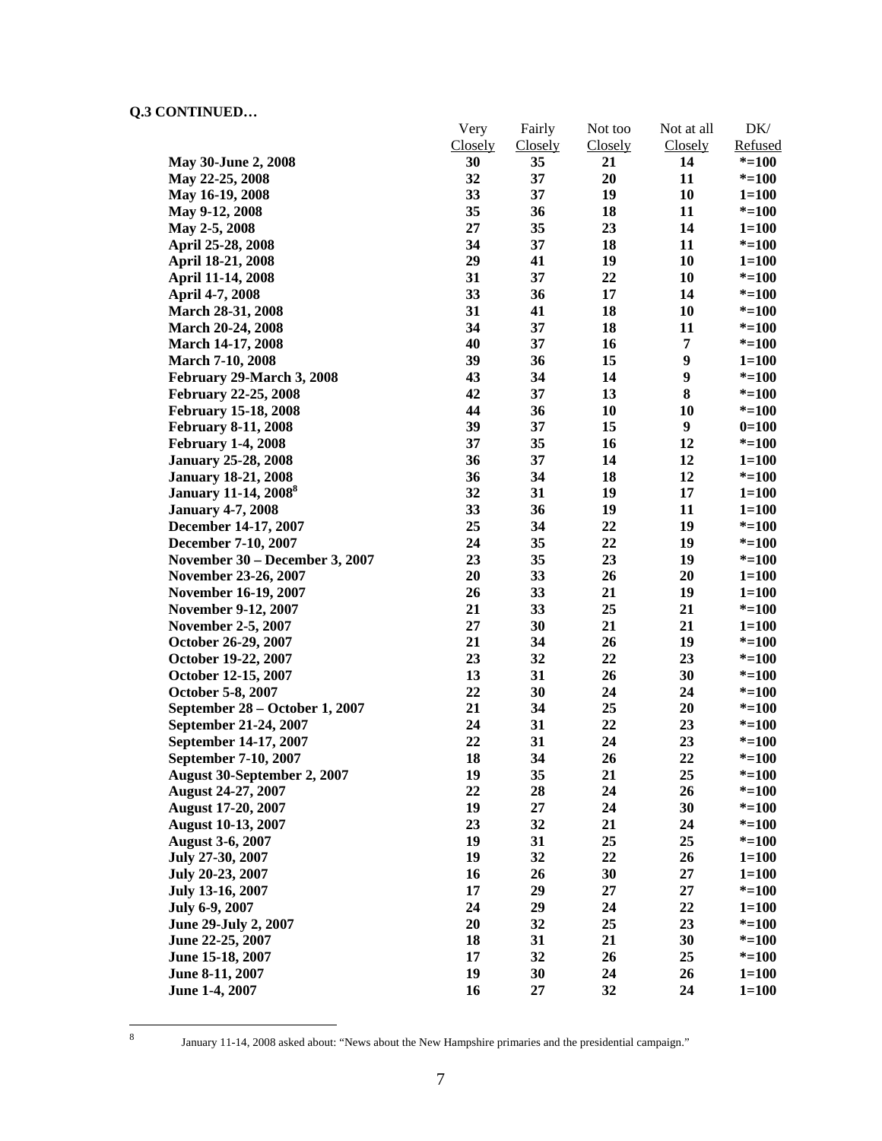|                                         | Very<br><b>Closely</b> | Fairly<br>Closely | Not too<br>Closely | Not at all<br><b>Closely</b> | DK/<br>Refused |
|-----------------------------------------|------------------------|-------------------|--------------------|------------------------------|----------------|
| May 30-June 2, 2008                     | 30                     | 35                | 21                 | 14                           | $* = 100$      |
| May 22-25, 2008                         | 32                     | 37                | 20                 | 11                           | $* = 100$      |
| May 16-19, 2008                         | 33                     | 37                | 19                 | 10                           | $1 = 100$      |
| May 9-12, 2008                          | 35                     | 36                | 18                 | 11                           | $* = 100$      |
| May 2-5, 2008                           | 27                     | 35                | 23                 | 14                           | $1 = 100$      |
| April 25-28, 2008                       | 34                     | 37                | 18                 | 11                           | $* = 100$      |
| April 18-21, 2008                       | 29                     | 41                | 19                 | 10                           | $1 = 100$      |
| April 11-14, 2008                       | 31                     | 37                | 22                 | 10                           | $* = 100$      |
| April 4-7, 2008                         | 33                     | 36                | 17                 | 14                           | $* = 100$      |
| <b>March 28-31, 2008</b>                | 31                     | 41                | 18                 | 10                           | $* = 100$      |
| March 20-24, 2008                       | 34                     | 37                | 18                 | 11                           | $* = 100$      |
| <b>March 14-17, 2008</b>                | 40                     | 37                | 16                 | 7                            | $* = 100$      |
| <b>March 7-10, 2008</b>                 | 39                     | 36                | 15                 | 9                            | $1 = 100$      |
| February 29-March 3, 2008               | 43                     | 34                | 14                 | 9                            | $* = 100$      |
| <b>February 22-25, 2008</b>             | 42                     | 37                | 13                 | 8                            | $* = 100$      |
|                                         | 44                     | 36                | 10                 | 10                           |                |
| <b>February 15-18, 2008</b>             | 39                     | 37                | 15                 | 9                            | $* = 100$      |
| <b>February 8-11, 2008</b>              |                        | 35                |                    | 12                           | $0=100$        |
| <b>February 1-4, 2008</b>               | 37                     |                   | 16                 |                              | $* = 100$      |
| <b>January 25-28, 2008</b>              | 36                     | 37<br>34          | 14                 | 12                           | $1 = 100$      |
| <b>January 18-21, 2008</b>              | 36                     |                   | 18                 | 12                           | $* = 100$      |
| <b>January 11-14, 2008</b> <sup>8</sup> | 32                     | 31                | 19                 | 17                           | $1 = 100$      |
| <b>January 4-7, 2008</b>                | 33                     | 36                | 19                 | 11                           | $1 = 100$      |
| December 14-17, 2007                    | 25                     | 34                | 22                 | 19                           | $* = 100$      |
| December 7-10, 2007                     | 24                     | 35                | 22                 | 19                           | $* = 100$      |
| November 30 - December 3, 2007          | 23                     | 35                | 23                 | 19                           | $* = 100$      |
| November 23-26, 2007                    | 20                     | 33                | 26                 | 20                           | $1 = 100$      |
| November 16-19, 2007                    | 26                     | 33                | 21                 | 19                           | $1 = 100$      |
| <b>November 9-12, 2007</b>              | 21                     | 33                | 25                 | 21                           | $* = 100$      |
| <b>November 2-5, 2007</b>               | 27                     | 30                | 21                 | 21                           | $1 = 100$      |
| October 26-29, 2007                     | 21                     | 34                | 26                 | 19                           | $* = 100$      |
| October 19-22, 2007                     | 23                     | 32                | 22                 | 23                           | $* = 100$      |
| October 12-15, 2007                     | 13                     | 31                | 26                 | 30                           | $* = 100$      |
| October 5-8, 2007                       | 22                     | 30                | 24                 | 24                           | $* = 100$      |
| September 28 – October 1, 2007          | 21                     | 34                | 25                 | 20                           | $* = 100$      |
| September 21-24, 2007                   | 24                     | 31                | 22                 | 23                           | $* = 100$      |
| September 14-17, 2007                   | 22                     | 31                | 24                 | 23                           | $* = 100$      |
| September 7-10, 2007                    | 18                     | 34                | 26                 | 22                           | $* = 100$      |
| <b>August 30-September 2, 2007</b>      | 19                     | 35                | 21                 | 25                           | $* = 100$      |
| August 24-27, 2007                      | 22                     | 28                | 24                 | 26                           | $* = 100$      |
| <b>August 17-20, 2007</b>               | 19                     | $27\,$            | 24                 | 30                           | $* = 100$      |
| <b>August 10-13, 2007</b>               | 23                     | 32                | 21                 | 24                           | $* = 100$      |
| <b>August 3-6, 2007</b>                 | 19                     | 31                | 25                 | 25                           | $* = 100$      |
| July 27-30, 2007                        | 19                     | 32                | 22                 | 26                           | $1 = 100$      |
| July 20-23, 2007                        | 16                     | 26                | 30                 | 27                           | $1 = 100$      |
| July 13-16, 2007                        | 17                     | 29                | 27                 | 27                           | $* = 100$      |
| July 6-9, 2007                          | 24                     | 29                | 24                 | 22                           | $1 = 100$      |
| June 29-July 2, 2007                    | 20                     | 32                | 25                 | 23                           | $* = 100$      |
| June 22-25, 2007                        | 18                     | 31                | 21                 | 30                           | $* = 100$      |
| June 15-18, 2007                        | 17                     | 32                | 26                 | 25                           | $* = 100$      |
| June 8-11, 2007                         | 19                     | 30                | 24                 | 26                           | $1 = 100$      |
| June 1-4, 2007                          | 16                     | 27                | 32                 | 24                           | $1 = 100$      |

8

January 11-14, 2008 asked about: "News about the New Hampshire primaries and the presidential campaign."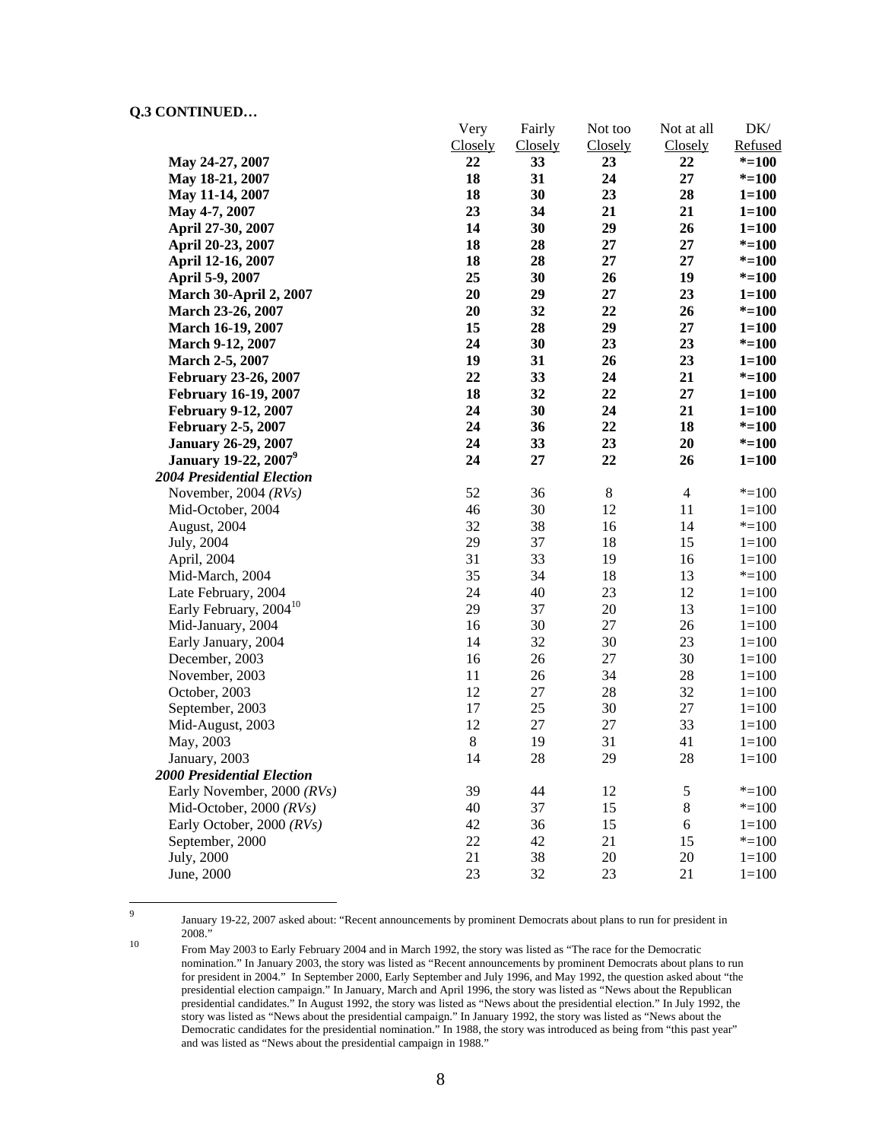|                                         | Very    | Fairly  | Not too | Not at all     | DK/       |
|-----------------------------------------|---------|---------|---------|----------------|-----------|
|                                         | Closely | Closely | Closely | Closely        | Refused   |
| May 24-27, 2007                         | 22      | 33      | 23      | 22             | $* = 100$ |
| May 18-21, 2007                         | 18      | 31      | 24      | 27             | $* = 100$ |
| May 11-14, 2007                         | 18      | 30      | 23      | 28             | $1 = 100$ |
| May 4-7, 2007                           | 23      | 34      | 21      | 21             | $1 = 100$ |
| April 27-30, 2007                       | 14      | 30      | 29      | 26             | $1 = 100$ |
| April 20-23, 2007                       | 18      | 28      | 27      | 27             | $* = 100$ |
| April 12-16, 2007                       | 18      | 28      | 27      | 27             | $* = 100$ |
| April 5-9, 2007                         | 25      | 30      | 26      | 19             | $* = 100$ |
| <b>March 30-April 2, 2007</b>           | 20      | 29      | 27      | 23             | $1 = 100$ |
| March 23-26, 2007                       | 20      | 32      | 22      | 26             | $* = 100$ |
| March 16-19, 2007                       | 15      | 28      | 29      | 27             | $1 = 100$ |
| March 9-12, 2007                        | 24      | 30      | 23      | 23             | $* = 100$ |
| March 2-5, 2007                         | 19      | 31      | 26      | 23             | $1 = 100$ |
| February 23-26, 2007                    | 22      | 33      | 24      | 21             | $* = 100$ |
| <b>February 16-19, 2007</b>             | 18      | 32      | 22      | 27             | $1 = 100$ |
| <b>February 9-12, 2007</b>              | 24      | 30      | 24      | 21             | $1 = 100$ |
| <b>February 2-5, 2007</b>               | 24      | 36      | 22      | 18             | $* = 100$ |
| <b>January 26-29, 2007</b>              | 24      | 33      | 23      | 20             | $* = 100$ |
| <b>January 19-22, 2007</b> <sup>9</sup> | 24      | 27      | 22      | 26             | $1 = 100$ |
| <b>2004 Presidential Election</b>       |         |         |         |                |           |
| November, 2004 $(RVs)$                  | 52      | 36      | $8\,$   | $\overline{4}$ | $* = 100$ |
| Mid-October, 2004                       | 46      | 30      | 12      | 11             | $1 = 100$ |
| August, 2004                            | 32      | 38      | 16      | 14             | $* = 100$ |
| July, 2004                              | 29      | 37      | 18      | 15             | $1 = 100$ |
| April, 2004                             | 31      | 33      | 19      | 16             | $1 = 100$ |
| Mid-March, 2004                         | 35      | 34      | 18      | 13             | $* = 100$ |
| Late February, 2004                     | 24      | 40      | 23      | 12             | $1 = 100$ |
| Early February, 2004 <sup>10</sup>      | 29      | 37      | $20\,$  | 13             | $1 = 100$ |
| Mid-January, 2004                       | 16      | 30      | 27      | 26             | $1 = 100$ |
| Early January, 2004                     | 14      | 32      | 30      | 23             | $1 = 100$ |
| December, 2003                          | 16      | 26      | 27      | 30             | $1 = 100$ |
| November, 2003                          | 11      | 26      | 34      | 28             | $1 = 100$ |
| October, 2003                           | 12      | $27\,$  | $28\,$  | 32             | $1 = 100$ |
| September, 2003                         | 17      | $25\,$  | 30      | 27             | $1 = 100$ |
| Mid-August, 2003                        | 12      | $27\,$  | 27      | 33             | $1 = 100$ |
| May, 2003                               | $\,8\,$ | 19      | 31      | 41             | $1 = 100$ |
| January, 2003                           | 14      | 28      | 29      | 28             | $1 = 100$ |
| <b>2000 Presidential Election</b>       |         |         |         |                |           |
| Early November, 2000 (RVs)              | 39      | 44      | 12      | $\mathfrak s$  | $* = 100$ |
| Mid-October, 2000 (RVs)                 | 40      | 37      | 15      | 8              | $* = 100$ |
| Early October, 2000 (RVs)               | 42      | 36      | 15      | 6              | $1 = 100$ |
| September, 2000                         | 22      | 42      | 21      | 15             | $* = 100$ |
| July, 2000                              | 21      | 38      | $20\,$  | 20             | $1 = 100$ |
|                                         |         |         |         |                |           |
| June, 2000                              | 23      | 32      | 23      | 21             | $1 = 100$ |

-<br>9

January 19-22, 2007 asked about: "Recent announcements by prominent Democrats about plans to run for president in

<sup>&</sup>lt;sup>10</sup> From May 2003 to Early February 2004 and in March 1992, the story was listed as "The race for the Democratic nomination." In January 2003, the story was listed as "Recent announcements by prominent Democrats about plans to run for president in 2004." In September 2000, Early September and July 1996, and May 1992, the question asked about "the presidential election campaign." In January, March and April 1996, the story was listed as "News about the Republican presidential candidates." In August 1992, the story was listed as "News about the presidential election." In July 1992, the story was listed as "News about the presidential campaign." In January 1992, the story was listed as "News about the Democratic candidates for the presidential nomination." In 1988, the story was introduced as being from "this past year" and was listed as "News about the presidential campaign in 1988."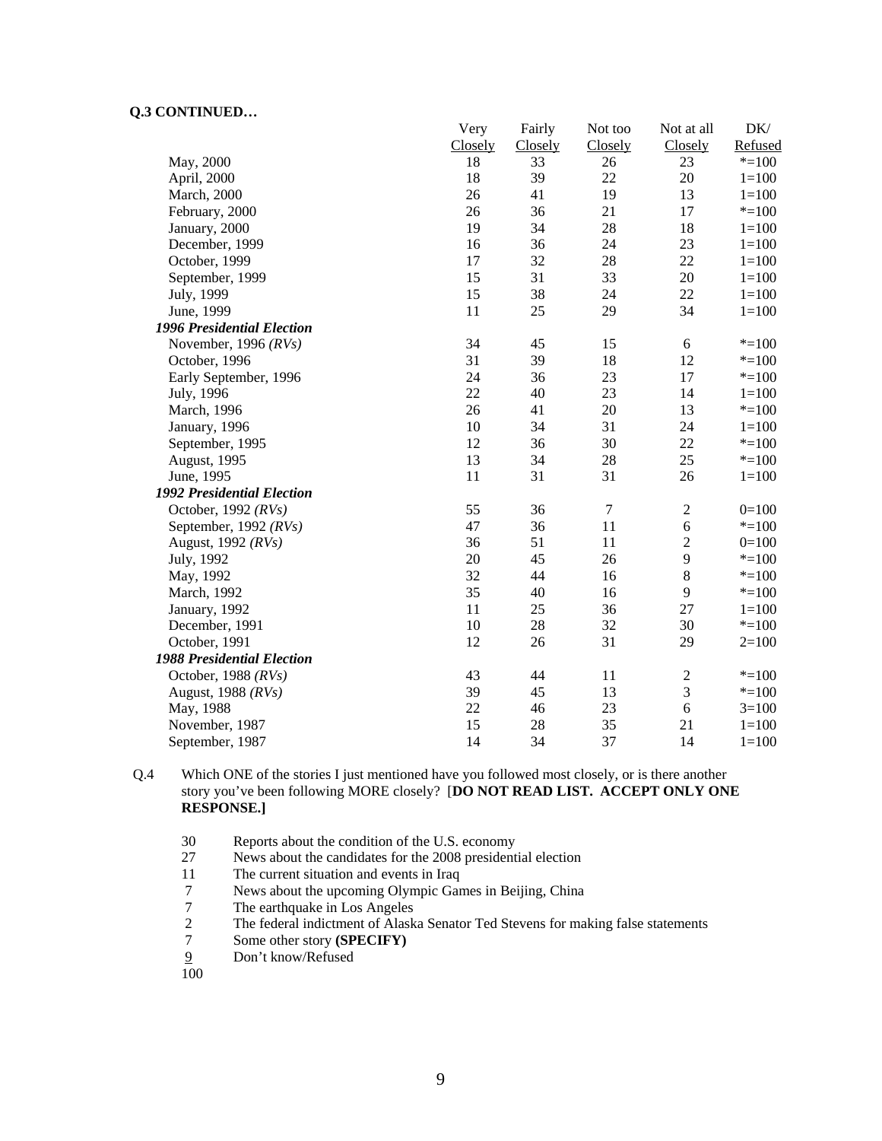|                                   | Very    | Fairly  | Not too    | Not at all     | DK/       |
|-----------------------------------|---------|---------|------------|----------------|-----------|
|                                   | Closely | Closely | Closely    | Closely        | Refused   |
| May, 2000                         | 18      | 33      | 26         | 23             | $* = 100$ |
| April, 2000                       | 18      | 39      | 22         | $20\,$         | $1 = 100$ |
| March, 2000                       | 26      | 41      | 19         | 13             | $1 = 100$ |
| February, 2000                    | 26      | 36      | 21         | 17             | $* = 100$ |
| January, 2000                     | 19      | 34      | 28         | 18             | $1 = 100$ |
| December, 1999                    | 16      | 36      | 24         | 23             | $1 = 100$ |
| October, 1999                     | 17      | 32      | 28         | 22             | $1 = 100$ |
| September, 1999                   | 15      | 31      | 33         | 20             | $1 = 100$ |
| July, 1999                        | 15      | 38      | 24         | 22             | $1 = 100$ |
| June, 1999                        | 11      | 25      | 29         | 34             | $1 = 100$ |
| <b>1996 Presidential Election</b> |         |         |            |                |           |
| November, 1996 $(RVs)$            | 34      | 45      | 15         | 6              | $* = 100$ |
| October, 1996                     | 31      | 39      | 18         | 12             | $* = 100$ |
| Early September, 1996             | 24      | 36      | 23         | 17             | $* = 100$ |
| July, 1996                        | 22      | 40      | 23         | 14             | $1 = 100$ |
| March, 1996                       | 26      | 41      | 20         | 13             | $* = 100$ |
| January, 1996                     | 10      | 34      | 31         | 24             | $1 = 100$ |
| September, 1995                   | 12      | 36      | 30         | 22             | $* = 100$ |
| August, 1995                      | 13      | 34      | 28         | 25             | $* = 100$ |
| June, 1995                        | 11      | 31      | 31         | 26             | $1 = 100$ |
| <b>1992 Presidential Election</b> |         |         |            |                |           |
| October, 1992 $(RVs)$             | 55      | 36      | $\sqrt{ }$ | $\sqrt{2}$     | $0=100$   |
| September, 1992 $(RVs)$           | 47      | 36      | 11         | $\sqrt{6}$     | $* = 100$ |
| August, 1992 (RVs)                | 36      | 51      | 11         | $\sqrt{2}$     | $0=100$   |
| July, 1992                        | 20      | 45      | 26         | 9              | $* = 100$ |
| May, 1992                         | 32      | 44      | 16         | $\,8\,$        | $* = 100$ |
| March, 1992                       | 35      | 40      | 16         | 9              | $* = 100$ |
| January, 1992                     | 11      | 25      | 36         | 27             | $1 = 100$ |
| December, 1991                    | 10      | 28      | 32         | 30             | $* = 100$ |
| October, 1991                     | 12      | 26      | 31         | 29             | $2=100$   |
| <b>1988 Presidential Election</b> |         |         |            |                |           |
| October, 1988 $(RVs)$             | 43      | 44      | 11         | $\overline{2}$ | $* = 100$ |
| August, 1988 (RVs)                | 39      | 45      | 13         | 3              | $* = 100$ |
| May, 1988                         | 22      | 46      | 23         | 6              | $3=100$   |
| November, 1987                    | 15      | 28      | 35         | 21             | $1 = 100$ |
| September, 1987                   | 14      | 34      | 37         | 14             | $1 = 100$ |

Q.4 Which ONE of the stories I just mentioned have you followed most closely, or is there another story you've been following MORE closely? [**DO NOT READ LIST. ACCEPT ONLY ONE RESPONSE.]** 

- 30 Reports about the condition of the U.S. economy<br>27 News about the candidates for the 2008 president
- News about the candidates for the 2008 presidential election
- 11 The current situation and events in Iraq
- 7 News about the upcoming Olympic Games in Beijing, China<br>7 The earthquake in Los Angeles
- The earthquake in Los Angeles
- 2 The federal indictment of Alaska Senator Ted Stevens for making false statements
- 7 Some other story **(SPECIFY)**<br>9 Don't know/Refused
- Don't know/Refused

100